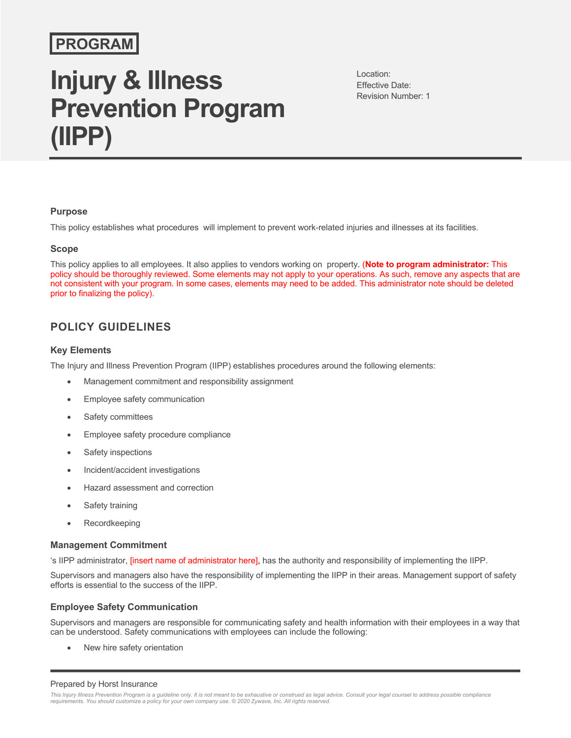## **PROGRAM**

# **Injury & Illness Prevention Program (IIPP)**

Location: Effective Date: Revision Number: 1

#### **Purpose**

This policy establishes what procedures will implement to prevent work-related injuries and illnesses at its facilities.

#### **Scope**

This policy applies to all employees. It also applies to vendors working on property. (**Note to program administrator:** This policy should be thoroughly reviewed. Some elements may not apply to your operations. As such, remove any aspects that are not consistent with your program. In some cases, elements may need to be added. This administrator note should be deleted prior to finalizing the policy).

### **POLICY GUIDELINES**

#### **Key Elements**

The Injury and Illness Prevention Program (IIPP) establishes procedures around the following elements:

- Management commitment and responsibility assignment
- Employee safety communication
- Safety committees
- Employee safety procedure compliance
- Safety inspections
- Incident/accident investigations
- Hazard assessment and correction
- Safety training
- Recordkeeping

#### **Management Commitment**

's IIPP administrator, [insert name of administrator here], has the authority and responsibility of implementing the IIPP.

Supervisors and managers also have the responsibility of implementing the IIPP in their areas. Management support of safety efforts is essential to the success of the IIPP.

#### **Employee Safety Communication**

Supervisors and managers are responsible for communicating safety and health information with their employees in a way that can be understood. Safety communications with employees can include the following:

New hire safety orientation

#### Prepared by Horst Insurance

This Injury Illness Prevention Program is a guideline only. It is not meant to be exhaustive or construed as legal advice. Consult your legal counsel to address possible compliance<br>requirements. You should customize a poli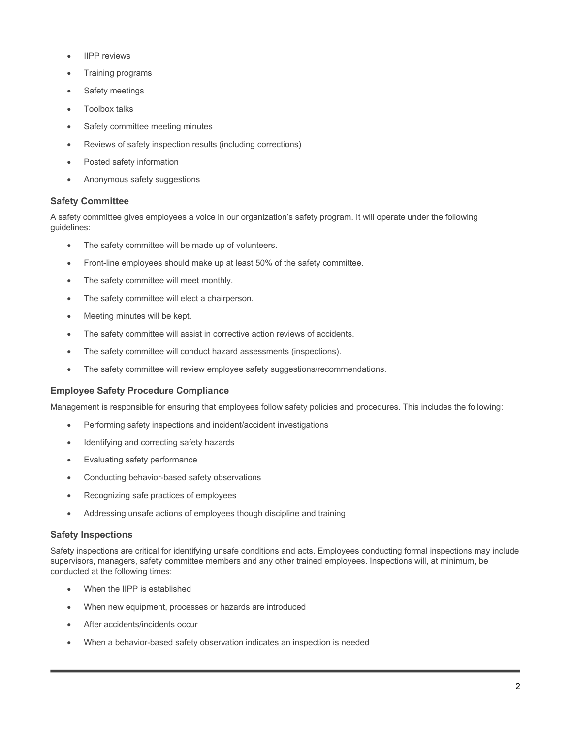- **IIPP** reviews
- Training programs
- Safety meetings
- Toolbox talks
- Safety committee meeting minutes
- Reviews of safety inspection results (including corrections)
- Posted safety information
- Anonymous safety suggestions

#### **Safety Committee**

A safety committee gives employees a voice in our organization's safety program. It will operate under the following guidelines:

- The safety committee will be made up of volunteers.
- Front-line employees should make up at least 50% of the safety committee.
- The safety committee will meet monthly.
- The safety committee will elect a chairperson.
- Meeting minutes will be kept.
- The safety committee will assist in corrective action reviews of accidents.
- The safety committee will conduct hazard assessments (inspections).
- The safety committee will review employee safety suggestions/recommendations.

#### **Employee Safety Procedure Compliance**

Management is responsible for ensuring that employees follow safety policies and procedures. This includes the following:

- Performing safety inspections and incident/accident investigations
- Identifying and correcting safety hazards
- Evaluating safety performance
- Conducting behavior-based safety observations
- Recognizing safe practices of employees
- Addressing unsafe actions of employees though discipline and training

#### **Safety Inspections**

Safety inspections are critical for identifying unsafe conditions and acts. Employees conducting formal inspections may include supervisors, managers, safety committee members and any other trained employees. Inspections will, at minimum, be conducted at the following times:

- When the IIPP is established
- When new equipment, processes or hazards are introduced
- After accidents/incidents occur
- When a behavior-based safety observation indicates an inspection is needed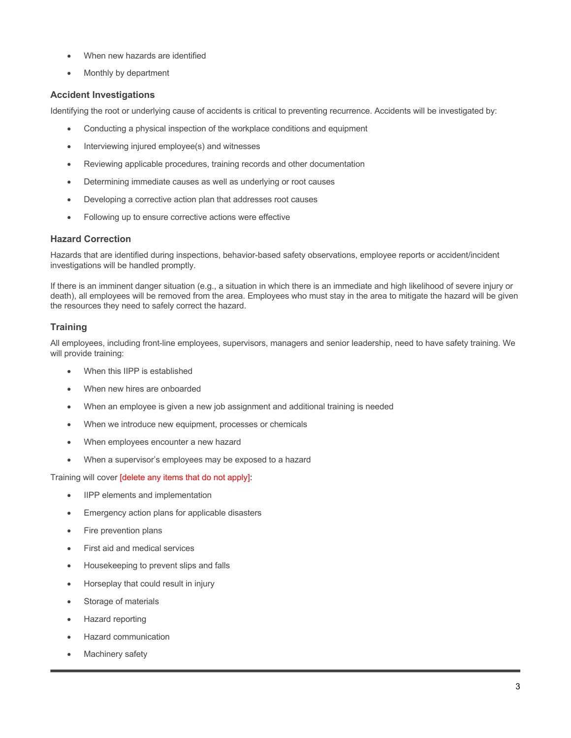- When new hazards are identified
- Monthly by department

#### **Accident Investigations**

Identifying the root or underlying cause of accidents is critical to preventing recurrence. Accidents will be investigated by:

- Conducting a physical inspection of the workplace conditions and equipment
- Interviewing injured employee(s) and witnesses
- Reviewing applicable procedures, training records and other documentation
- Determining immediate causes as well as underlying or root causes
- Developing a corrective action plan that addresses root causes
- Following up to ensure corrective actions were effective

#### **Hazard Correction**

Hazards that are identified during inspections, behavior-based safety observations, employee reports or accident/incident investigations will be handled promptly.

If there is an imminent danger situation (e.g., a situation in which there is an immediate and high likelihood of severe injury or death), all employees will be removed from the area. Employees who must stay in the area to mitigate the hazard will be given the resources they need to safely correct the hazard.

#### **Training**

All employees, including front-line employees, supervisors, managers and senior leadership, need to have safety training. We will provide training:

- When this IIPP is established
- When new hires are onboarded
- When an employee is given a new job assignment and additional training is needed
- When we introduce new equipment, processes or chemicals
- When employees encounter a new hazard
- When a supervisor's employees may be exposed to a hazard

Training will cover [delete any items that do not apply]:

- IIPP elements and implementation
- Emergency action plans for applicable disasters
- Fire prevention plans
- First aid and medical services
- Housekeeping to prevent slips and falls
- Horseplay that could result in injury
- Storage of materials
- Hazard reporting
- Hazard communication
- Machinery safety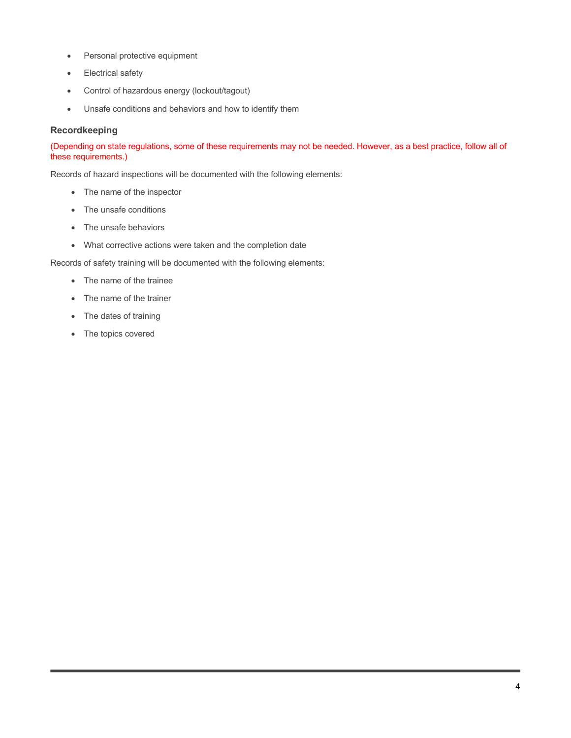- Personal protective equipment
- Electrical safety
- Control of hazardous energy (lockout/tagout)
- Unsafe conditions and behaviors and how to identify them

#### **Recordkeeping**

(Depending on state regulations, some of these requirements may not be needed. However, as a best practice, follow all of these requirements.)

Records of hazard inspections will be documented with the following elements:

- The name of the inspector
- The unsafe conditions
- The unsafe behaviors
- What corrective actions were taken and the completion date

Records of safety training will be documented with the following elements:

- The name of the trainee
- The name of the trainer
- The dates of training
- The topics covered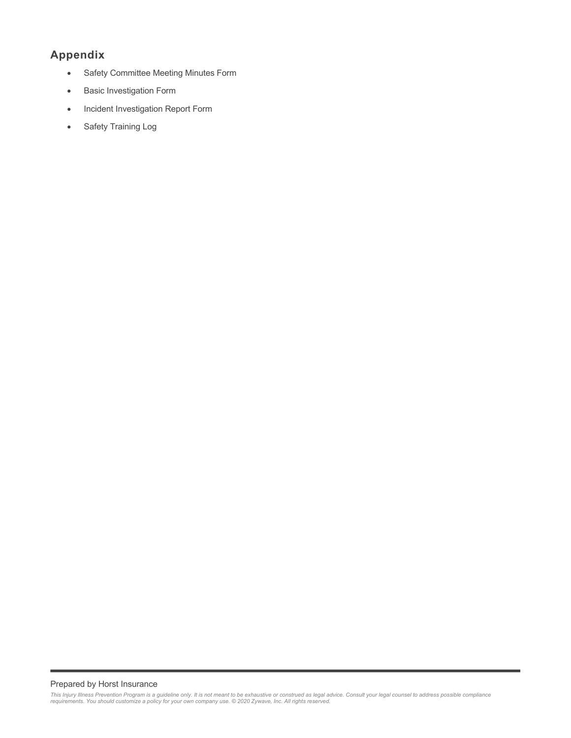## **Appendix**

- Safety Committee Meeting Minutes Form
- Basic Investigation Form
- Incident Investigation Report Form
- Safety Training Log

#### Prepared by Horst Insurance

This Injury Illness Prevention Program is a guideline only. It is not meant to be exhaustive or construed as legal advice. Consult your legal counsel to address possible compliance<br>requirements. You should customize a poli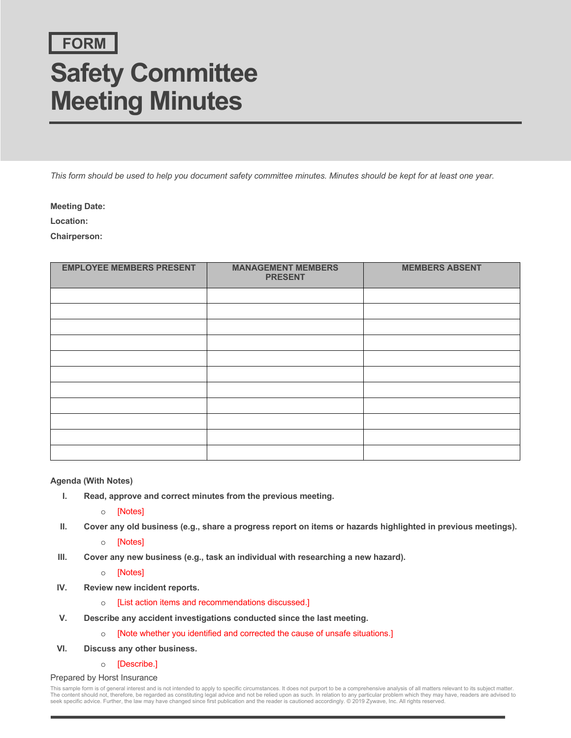## **FORM**

# **Safety Committee Meeting Minutes**

*This form should be used to help you document safety committee minutes. Minutes should be kept for at least one year.*

**Meeting Date:**

**Location:**

**Chairperson:**

| <b>EMPLOYEE MEMBERS PRESENT</b> | <b>MANAGEMENT MEMBERS</b><br><b>PRESENT</b> | <b>MEMBERS ABSENT</b> |
|---------------------------------|---------------------------------------------|-----------------------|
|                                 |                                             |                       |
|                                 |                                             |                       |
|                                 |                                             |                       |
|                                 |                                             |                       |
|                                 |                                             |                       |
|                                 |                                             |                       |
|                                 |                                             |                       |
|                                 |                                             |                       |
|                                 |                                             |                       |
|                                 |                                             |                       |
|                                 |                                             |                       |

#### **Agenda (With Notes)**

**I. Read, approve and correct minutes from the previous meeting.**

o [Notes]

- **II. Cover any old business (e.g., share a progress report on items or hazards highlighted in previous meetings).**
	- o [Notes]
- **III. Cover any new business (e.g., task an individual with researching a new hazard).**

o [Notes]

- **IV. Review new incident reports.**
	- o [List action items and recommendations discussed.]
- **V. Describe any accident investigations conducted since the last meeting.**
	- o [Note whether you identified and corrected the cause of unsafe situations.]
- **VI. Discuss any other business.**
	- o [Describe.]

#### Prepared by Horst Insurance

This sample form is of general interest and is not intended to apply to specific circumstances. It does not purport to be a comprehensive analysis of all matters relevant to its subject matter The content should not, therefore, be regarded as constituting legal advice and not be relied upon as such. In relation to any particular problem which they may have, readers are advised to<br>seek specific advice. Further, t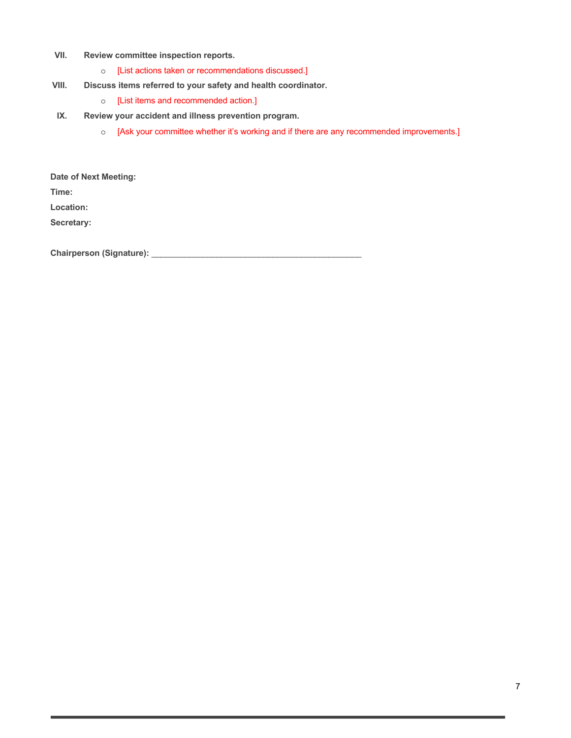- **VII. Review committee inspection reports.**
	- o [List actions taken or recommendations discussed.]
- **VIII. Discuss items referred to your safety and health coordinator.**
	- o [List items and recommended action.]
- **IX. Review your accident and illness prevention program.**
	- o [Ask your committee whether it's working and if there are any recommended improvements.]

**Date of Next Meeting:**

**Time:** 

**Location:**

**Secretary:**

**Chairperson (Signature):** \_\_\_\_\_\_\_\_\_\_\_\_\_\_\_\_\_\_\_\_\_\_\_\_\_\_\_\_\_\_\_\_\_\_\_\_\_\_\_\_\_\_\_\_\_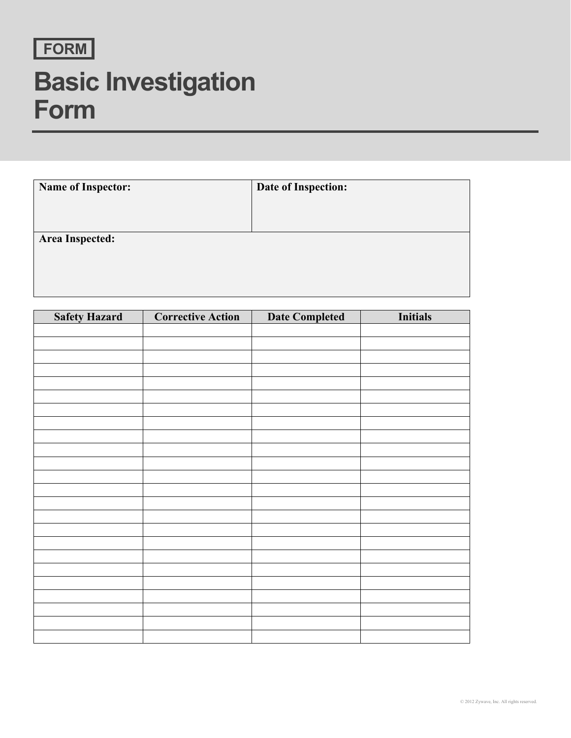

# **Basic Investigation Form**

| <b>Name of Inspector:</b> | Date of Inspection: |
|---------------------------|---------------------|
|                           |                     |
|                           |                     |
| Area Inspected:           |                     |
|                           |                     |
|                           |                     |
|                           |                     |

| <b>Safety Hazard</b> | <b>Corrective Action</b> | <b>Date Completed</b> | <b>Initials</b> |
|----------------------|--------------------------|-----------------------|-----------------|
|                      |                          |                       |                 |
|                      |                          |                       |                 |
|                      |                          |                       |                 |
|                      |                          |                       |                 |
|                      |                          |                       |                 |
|                      |                          |                       |                 |
|                      |                          |                       |                 |
|                      |                          |                       |                 |
|                      |                          |                       |                 |
|                      |                          |                       |                 |
|                      |                          |                       |                 |
|                      |                          |                       |                 |
|                      |                          |                       |                 |
|                      |                          |                       |                 |
|                      |                          |                       |                 |
|                      |                          |                       |                 |
|                      |                          |                       |                 |
|                      |                          |                       |                 |
|                      |                          |                       |                 |
|                      |                          |                       |                 |
|                      |                          |                       |                 |
|                      |                          |                       |                 |
|                      |                          |                       |                 |
|                      |                          |                       |                 |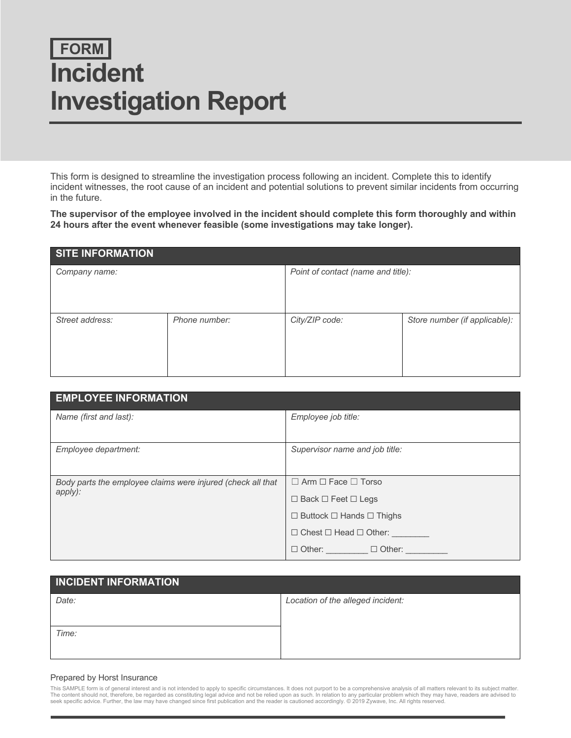# **FORM Incident Investigation Report**

This form is designed to streamline the investigation process following an incident. Complete this to identify incident witnesses, the root cause of an incident and potential solutions to prevent similar incidents from occurring in the future.

**The supervisor of the employee involved in the incident should complete this form thoroughly and within 24 hours after the event whenever feasible (some investigations may take longer).**

| <b>SITE INFORMATION</b> |               |                                    |                               |  |
|-------------------------|---------------|------------------------------------|-------------------------------|--|
| Company name:           |               | Point of contact (name and title): |                               |  |
| Street address:         | Phone number: | City/ZIP code:                     | Store number (if applicable): |  |

| <b>EMPLOYEE INFORMATION</b>                                            |                                           |
|------------------------------------------------------------------------|-------------------------------------------|
| Name (first and last):                                                 | Employee job title:                       |
|                                                                        |                                           |
| Employee department:                                                   | Supervisor name and job title:            |
|                                                                        |                                           |
| Body parts the employee claims were injured (check all that<br>apply): | $\Box$ Arm $\Box$ Face $\Box$ Torso       |
|                                                                        | $\Box$ Back $\Box$ Feet $\Box$ Legs       |
|                                                                        | $\Box$ Buttock $\Box$ Hands $\Box$ Thighs |
|                                                                        | $\Box$ Chest $\Box$ Head $\Box$ Other:    |
|                                                                        | $\Box$ Other: $\Box$ $\Box$ Other: $\Box$ |

| <b>INCIDENT INFORMATION</b> |                                   |
|-----------------------------|-----------------------------------|
| Date:                       | Location of the alleged incident: |
| Time:                       |                                   |

#### Prepared by Horst Insurance

This SAMPLE form is of general interest and is not intended to apply to specific circumstances. It does not purport to be a comprehensive analysis of all matters relevant to its subject matter The content should not, therefore, be regarded as constituting legal advice and not be relied upon as such. In relation to any particular problem which they may have, readers are advised to<br>seek specific advice. Further, t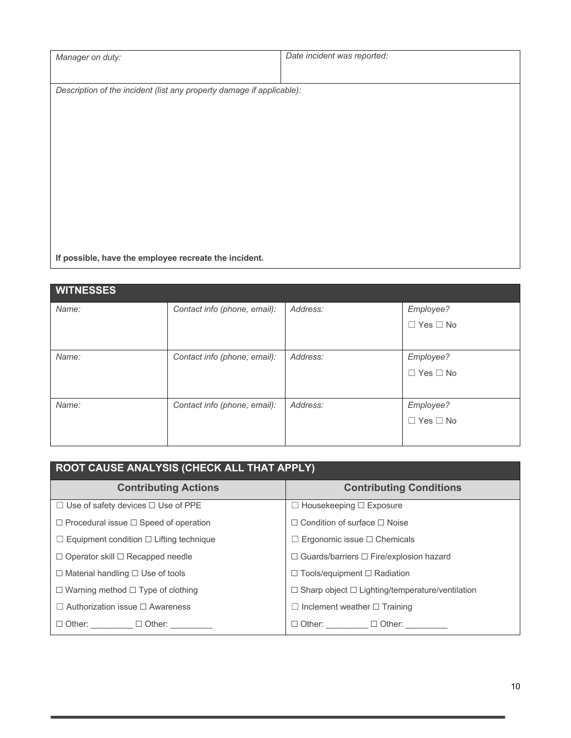| Manager on duty:                                                      | Date incident was reported: |  |
|-----------------------------------------------------------------------|-----------------------------|--|
|                                                                       |                             |  |
| Description of the incident (list any property damage if applicable): |                             |  |
|                                                                       |                             |  |
|                                                                       |                             |  |
|                                                                       |                             |  |
|                                                                       |                             |  |
|                                                                       |                             |  |
|                                                                       |                             |  |
|                                                                       |                             |  |
|                                                                       |                             |  |
|                                                                       |                             |  |
| If possible, have the employee recreate the incident.                 |                             |  |

| <b>WITNESSES</b> |                              |          |                      |
|------------------|------------------------------|----------|----------------------|
| Name:            | Contact info (phone, email): | Address: | Employee?            |
|                  |                              |          | $\Box$ Yes $\Box$ No |
|                  |                              |          |                      |
| Name:            | Contact info (phone, email): | Address: | Employee?            |
|                  |                              |          | $\Box$ Yes $\Box$ No |
|                  |                              |          |                      |
| Name:            | Contact info (phone, email): | Address: | Employee?            |
|                  |                              |          | $\Box$ Yes $\Box$ No |
|                  |                              |          |                      |

| <b>ROOT CAUSE ANALYSIS (CHECK ALL THAT APPLY)</b>   |                                                             |  |  |
|-----------------------------------------------------|-------------------------------------------------------------|--|--|
| <b>Contributing Actions</b>                         | <b>Contributing Conditions</b>                              |  |  |
| $\Box$ Use of safety devices $\Box$ Use of PPE      | $\Box$ Housekeeping $\Box$ Exposure                         |  |  |
| $\Box$ Procedural issue $\Box$ Speed of operation   | $\Box$ Condition of surface $\Box$ Noise                    |  |  |
| $\Box$ Equipment condition $\Box$ Lifting technique | $\Box$ Ergonomic issue $\Box$ Chemicals                     |  |  |
| $\Box$ Operator skill $\Box$ Recapped needle        | $\Box$ Guards/barriers $\Box$ Fire/explosion hazard         |  |  |
| $\Box$ Material handling $\Box$ Use of tools        | $\Box$ Tools/equipment $\Box$ Radiation                     |  |  |
| $\Box$ Warning method $\Box$ Type of clothing       | $\Box$ Sharp object $\Box$ Lighting/temperature/ventilation |  |  |
| $\Box$ Authorization issue $\Box$ Awareness         | $\Box$ Inclement weather $\Box$ Training                    |  |  |
| $\Box$ Other: $\Box$ Other:                         | $\Box$ Other: $\Box$ Other:                                 |  |  |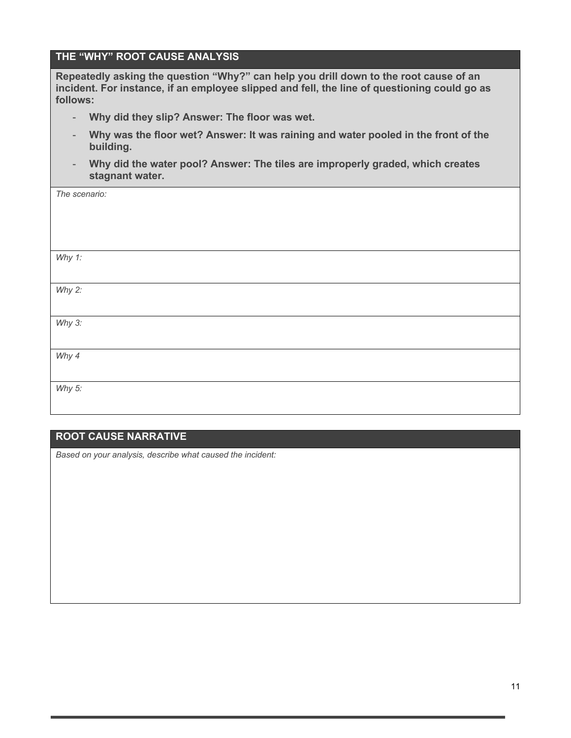### **THE "WHY" ROOT CAUSE ANALYSIS**

**Repeatedly asking the question "Why?" can help you drill down to the root cause of an incident. For instance, if an employee slipped and fell, the line of questioning could go as follows:**

- **Why did they slip? Answer: The floor was wet.**
- **Why was the floor wet? Answer: It was raining and water pooled in the front of the building.**
- **Why did the water pool? Answer: The tiles are improperly graded, which creates stagnant water.**

| The scenario: |  |
|---------------|--|
|               |  |
|               |  |
|               |  |
| Why 1:        |  |
|               |  |
| Why $2$ :     |  |
|               |  |
| Why $3$ :     |  |
|               |  |
| Why 4         |  |
|               |  |
| Why $5$ :     |  |
|               |  |

### **ROOT CAUSE NARRATIVE**

*Based on your analysis, describe what caused the incident:*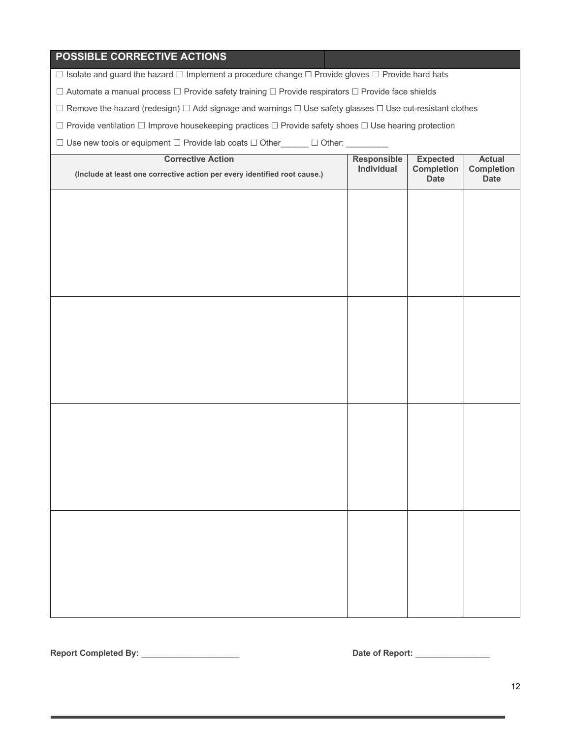### **POSSIBLE CORRECTIVE ACTIONS**

☐ Isolate and guard the hazard ☐ Implement a procedure change ☐ Provide gloves ☐ Provide hard hats

☐ Automate a manual process ☐ Provide safety training ☐ Provide respirators ☐ Provide face shields

☐ Remove the hazard (redesign) ☐ Add signage and warnings ☐ Use safety glasses ☐ Use cut-resistant clothes

☐ Provide ventilation ☐ Improve housekeeping practices ☐ Provide safety shoes ☐ Use hearing protection

☐ Use new tools or equipment ☐ Provide lab coats ☐ Other\_\_\_\_\_\_ ☐ Other: \_\_\_\_\_\_\_\_\_

| <b>Corrective Action</b>                                                  | Responsible<br>Individual | Expected<br>Completion | Actual                    |
|---------------------------------------------------------------------------|---------------------------|------------------------|---------------------------|
| (Include at least one corrective action per every identified root cause.) |                           | Date                   | <b>Completion</b><br>Date |
|                                                                           |                           |                        |                           |
|                                                                           |                           |                        |                           |
|                                                                           |                           |                        |                           |
|                                                                           |                           |                        |                           |
|                                                                           |                           |                        |                           |
|                                                                           |                           |                        |                           |
|                                                                           |                           |                        |                           |
|                                                                           |                           |                        |                           |
|                                                                           |                           |                        |                           |
|                                                                           |                           |                        |                           |
|                                                                           |                           |                        |                           |
|                                                                           |                           |                        |                           |
|                                                                           |                           |                        |                           |
|                                                                           |                           |                        |                           |
|                                                                           |                           |                        |                           |
|                                                                           |                           |                        |                           |
|                                                                           |                           |                        |                           |
|                                                                           |                           |                        |                           |
|                                                                           |                           |                        |                           |
|                                                                           |                           |                        |                           |
|                                                                           |                           |                        |                           |
|                                                                           |                           |                        |                           |
|                                                                           |                           |                        |                           |
|                                                                           |                           |                        |                           |

**Report Completed By:** \_\_\_\_\_\_\_\_\_\_\_\_\_\_\_\_\_\_\_\_\_ **Date of Report:** \_\_\_\_\_\_\_\_\_\_\_\_\_\_\_\_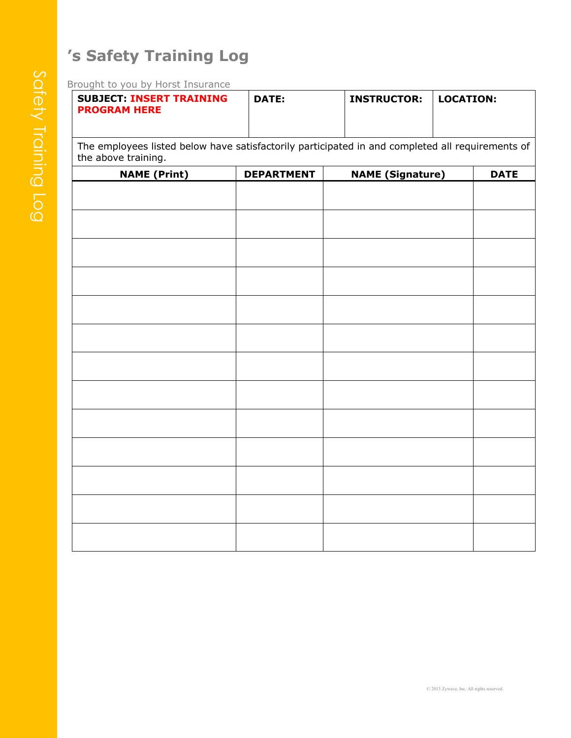# **'s Safety Training Log**

Brought to you by Horst Insurance

| <b>SUBJECT: INSERT TRAINING</b><br><b>PROGRAM HERE</b>                                                                  | DATE:             | <b>INSTRUCTOR:</b>         | LOCATION: |      |
|-------------------------------------------------------------------------------------------------------------------------|-------------------|----------------------------|-----------|------|
| The employees listed below have satisfactorily participated in and completed all requirements of<br>the above training. |                   |                            |           |      |
| $N$ $ML$ $(D_{v}$ $N$                                                                                                   | <b>DEDADTMENT</b> | $N$ $ML$ $(Cian$ , $N$ $N$ |           | RATE |

| <b>NAME</b> (Print) | <b>DEPARTMENT</b> | <b>NAME (Signature)</b> | <b>DATE</b> |
|---------------------|-------------------|-------------------------|-------------|
|                     |                   |                         |             |
|                     |                   |                         |             |
|                     |                   |                         |             |
|                     |                   |                         |             |
|                     |                   |                         |             |
|                     |                   |                         |             |
|                     |                   |                         |             |
|                     |                   |                         |             |
|                     |                   |                         |             |
|                     |                   |                         |             |
|                     |                   |                         |             |
|                     |                   |                         |             |
|                     |                   |                         |             |
|                     |                   |                         |             |
|                     |                   |                         |             |
|                     |                   |                         |             |
|                     |                   |                         |             |
|                     |                   |                         |             |
|                     |                   |                         |             |
|                     |                   |                         |             |
|                     |                   |                         |             |
|                     |                   |                         |             |
|                     |                   |                         |             |
|                     |                   |                         |             |
|                     |                   |                         |             |